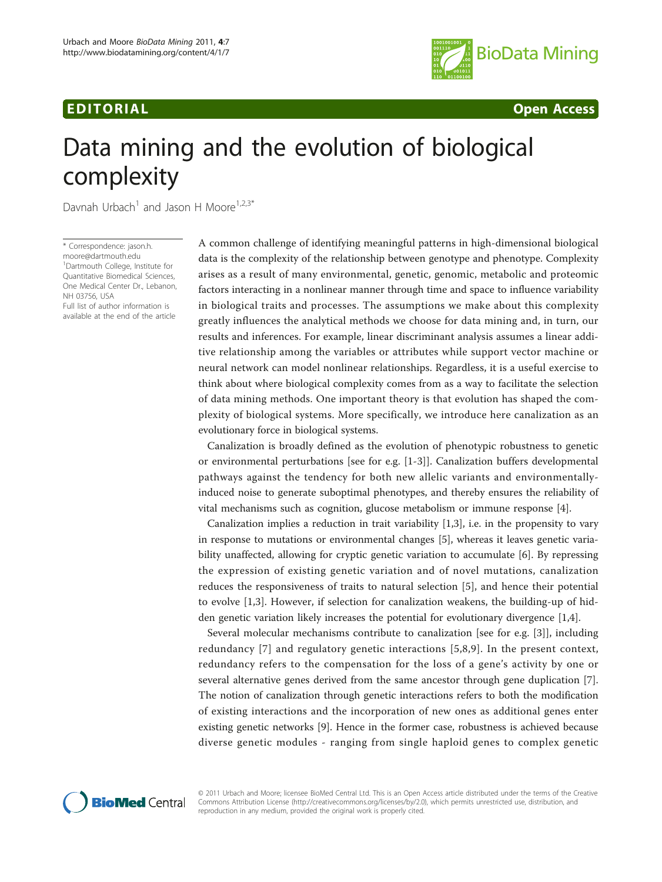## **EDITORIAL** CONTROL CONTROL CONTROL CONTROL CONTROL CONTROL CONTROL CONTROL CONTROL CONTROL CONTROL CONTROL CONTROL CONTROL CONTROL CONTROL CONTROL CONTROL CONTROL CONTROL CONTROL CONTROL CONTROL CONTROL CONTROL CONTROL CO



# Data mining and the evolution of biological complexity

Davnah Urbach<sup>1</sup> and Jason H Moore<sup>1,2,3\*</sup>

\* Correspondence: [jason.h.](mailto:jason.h.moore@dartmouth.edu) [moore@dartmouth.edu](mailto:jason.h.moore@dartmouth.edu) <sup>1</sup>Dartmouth College, Institute for Quantitative Biomedical Sciences, One Medical Center Dr., Lebanon, NH 03756, USA Full list of author information is available at the end of the article

A common challenge of identifying meaningful patterns in high-dimensional biological data is the complexity of the relationship between genotype and phenotype. Complexity arises as a result of many environmental, genetic, genomic, metabolic and proteomic factors interacting in a nonlinear manner through time and space to influence variability in biological traits and processes. The assumptions we make about this complexity greatly influences the analytical methods we choose for data mining and, in turn, our results and inferences. For example, linear discriminant analysis assumes a linear additive relationship among the variables or attributes while support vector machine or neural network can model nonlinear relationships. Regardless, it is a useful exercise to think about where biological complexity comes from as a way to facilitate the selection of data mining methods. One important theory is that evolution has shaped the complexity of biological systems. More specifically, we introduce here canalization as an evolutionary force in biological systems.

Canalization is broadly defined as the evolution of phenotypic robustness to genetic or environmental perturbations [see for e.g. [[1-3](#page-1-0)]]. Canalization buffers developmental pathways against the tendency for both new allelic variants and environmentallyinduced noise to generate suboptimal phenotypes, and thereby ensures the reliability of vital mechanisms such as cognition, glucose metabolism or immune response [\[4](#page-1-0)].

Canalization implies a reduction in trait variability [\[1,3](#page-1-0)], i.e. in the propensity to vary in response to mutations or environmental changes [[5\]](#page-1-0), whereas it leaves genetic variability unaffected, allowing for cryptic genetic variation to accumulate [[6\]](#page-1-0). By repressing the expression of existing genetic variation and of novel mutations, canalization reduces the responsiveness of traits to natural selection [[5\]](#page-1-0), and hence their potential to evolve [[1,3\]](#page-1-0). However, if selection for canalization weakens, the building-up of hidden genetic variation likely increases the potential for evolutionary divergence [[1](#page-1-0),[4](#page-1-0)].

Several molecular mechanisms contribute to canalization [see for e.g. [[3\]](#page-1-0)], including redundancy [[7](#page-1-0)] and regulatory genetic interactions [[5,8](#page-1-0),[9\]](#page-1-0). In the present context, redundancy refers to the compensation for the loss of a gene's activity by one or several alternative genes derived from the same ancestor through gene duplication [\[7](#page-1-0)]. The notion of canalization through genetic interactions refers to both the modification of existing interactions and the incorporation of new ones as additional genes enter existing genetic networks [[9\]](#page-1-0). Hence in the former case, robustness is achieved because diverse genetic modules - ranging from single haploid genes to complex genetic



© 2011 Urbach and Moore; licensee BioMed Central Ltd. This is an Open Access article distributed under the terms of the Creative Commons Attribution License [\(http://creativecommons.org/licenses/by/2.0](http://creativecommons.org/licenses/by/2.0)), which permits unrestricted use, distribution, and reproduction in any medium, provided the original work is properly cited.